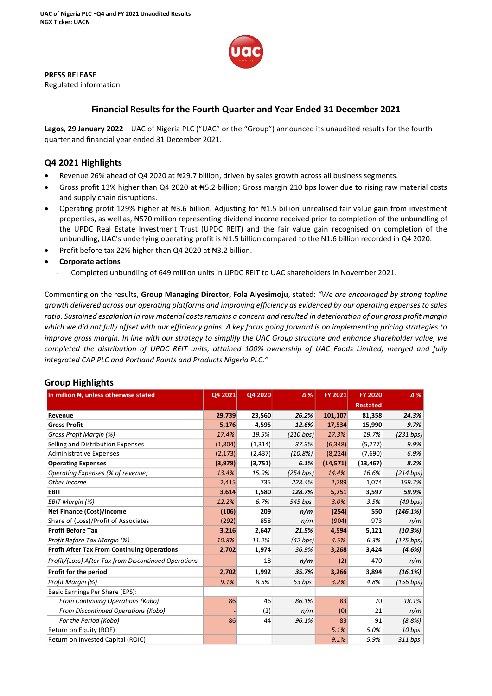

**PRESS RELEASE**

Regulated information

# **Financial Results for the Fourth Quarter and Year Ended 31 December 2021**

**Lagos, 29 January 2022** – UAC of Nigeria PLC ("UAC" or the "Group") announced its unaudited results for the fourth quarter and financial year ended 31 December 2021.

## **Q4 2021 Highlights**

- Revenue 26% ahead of Q4 2020 at N29.7 billion, driven by sales growth across all business segments.
- Gross profit 13% higher than Q4 2020 at #5.2 billion; Gross margin 210 bps lower due to rising raw material costs and supply chain disruptions.
- Operating profit 129% higher at  $\text{H}3.6$  billion. Adjusting for  $\text{H}1.5$  billion unrealised fair value gain from investment properties, as well as, ₦570 million representing dividend income received prior to completion of the unbundling of the UPDC Real Estate Investment Trust (UPDC REIT) and the fair value gain recognised on completion of the unbundling, UAC's underlying operating profit is N1.5 billion compared to the N1.6 billion recorded in Q4 2020.
- Profit before tax 22% higher than Q4 2020 at N<sub>3</sub>.2 billion.

## • **Corporate actions**

- Completed unbundling of 649 million units in UPDC REIT to UAC shareholders in November 2021.

Commenting on the results, **Group Managing Director, Fola Aiyesimoju**, stated: *"We are encouraged by strong topline growth delivered across our operating platforms and improving efficiency as evidenced by our operating expenses to sales ratio. Sustained escalation in raw material costs remains a concern and resulted in deterioration of our gross profit margin which we did not fully offset with our efficiency gains. A key focus going forward is on implementing pricing strategies to improve gross margin. In line with our strategy to simplify the UAC Group structure and enhance shareholder value, we completed the distribution of UPDC REIT units, attained 100% ownership of UAC Foods Limited, merged and fully integrated CAP PLC and Portland Paints and Products Nigeria PLC."*

| יייםייים יים ששטיי<br>In million N, unless otherwise stated | Q4 2021  | Q4 2020  | $\Delta\%$ | FY 2021   | <b>FY 2020</b>  | $\Delta\%$ |
|-------------------------------------------------------------|----------|----------|------------|-----------|-----------------|------------|
|                                                             |          |          |            |           | <b>Restated</b> |            |
| Revenue                                                     | 29,739   | 23,560   | 26.2%      | 101,107   | 81,358          | 24.3%      |
| <b>Gross Profit</b>                                         | 5,176    | 4,595    | 12.6%      | 17,534    | 15,990          | 9.7%       |
| Gross Profit Margin (%)                                     | 17.4%    | 19.5%    | (210 bps)  | 17.3%     | 19.7%           | (231 bps)  |
| Selling and Distribution Expenses                           | (1,804)  | (1, 314) | 37.3%      | (6, 348)  | (5, 777)        | 9.9%       |
| <b>Administrative Expenses</b>                              | (2, 173) | (2,437)  | (10.8%)    | (8, 224)  | (7,690)         | 6.9%       |
| <b>Operating Expenses</b>                                   | (3,978)  | (3,751)  | 6.1%       | (14, 571) | (13, 467)       | 8.2%       |
| Operating Expenses (% of revenue)                           | 13.4%    | 15.9%    | (254 bps)  | 14.4%     | 16.6%           | (214 bps)  |
| Other income                                                | 2,415    | 735      | 228.4%     | 2,789     | 1,074           | 159.7%     |
| <b>EBIT</b>                                                 | 3,614    | 1,580    | 128.7%     | 5,751     | 3,597           | 59.9%      |
| EBIT Margin (%)                                             | 12.2%    | 6.7%     | 545 bps    | 3.0%      | 3.5%            | $(49$ bps) |
| <b>Net Finance (Cost)/Income</b>                            | (106)    | 209      | n/m        | (254)     | 550             | (146.1%)   |
| Share of (Loss)/Profit of Associates                        | (292)    | 858      | n/m        | (904)     | 973             | n/m        |
| <b>Profit Before Tax</b>                                    | 3,216    | 2,647    | 21.5%      | 4,594     | 5,121           | (10.3%)    |
| Profit Before Tax Margin (%)                                | 10.8%    | 11.2%    | (42 bps)   | 4.5%      | 6.3%            | (175 bps)  |
| <b>Profit After Tax From Continuing Operations</b>          | 2,702    | 1,974    | 36.9%      | 3,268     | 3,424           | (4.6%)     |
| Profit/(Loss) After Tax from Discontinued Operations        |          | 18       | n/m        | (2)       | 470             | n/m        |
| Profit for the period                                       | 2,702    | 1,992    | 35.7%      | 3,266     | 3,894           | (16.1%)    |
| Profit Margin (%)                                           | 9.1%     | 8.5%     | 63 bps     | 3.2%      | 4.8%            | (156 bps)  |
| Basic Earnings Per Share (EPS):                             |          |          |            |           |                 |            |
| From Continuing Operations (Kobo)                           | 86       | 46       | 86.1%      | 83        | 70              | 18.1%      |
| From Discontinued Operations (Kobo)                         |          | (2)      | n/m        | (0)       | 21              | n/m        |
| For the Period (Kobo)                                       | 86       | 44       | 96.1%      | 83        | 91              | (8.8%)     |
| Return on Equity (ROE)                                      |          |          |            | 5.1%      | 5.0%            | 10 bps     |
| Return on Invested Capital (ROIC)                           |          |          |            | 9.1%      | 5.9%            | 311 bps    |

## **Group Highlights**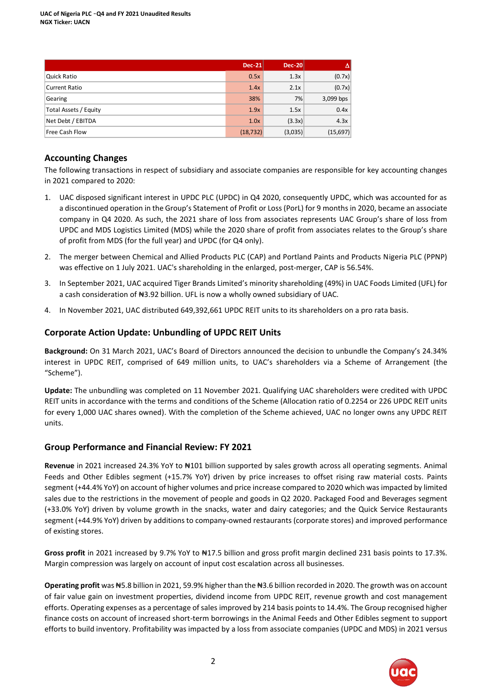|                       | <b>Dec-21</b> | <b>Dec-20</b> | AV        |
|-----------------------|---------------|---------------|-----------|
| Quick Ratio           | 0.5x          | 1.3x          | (0.7x)    |
| Current Ratio         | 1.4x          | 2.1x          | (0.7x)    |
| Gearing               | 38%           | 7%            | 3,099 bps |
| Total Assets / Equity | 1.9x          | 1.5x          | 0.4x      |
| Net Debt / EBITDA     | 1.0x          | (3.3x)        | 4.3x      |
| Free Cash Flow        | (18, 732)     | (3,035)       | (15,697)  |

# **Accounting Changes**

The following transactions in respect of subsidiary and associate companies are responsible for key accounting changes in 2021 compared to 2020:

- 1. UAC disposed significant interest in UPDC PLC (UPDC) in Q4 2020, consequently UPDC, which was accounted for as a discontinued operation in the Group's Statement of Profit or Loss (PorL) for 9 months in 2020, became an associate company in Q4 2020. As such, the 2021 share of loss from associates represents UAC Group's share of loss from UPDC and MDS Logistics Limited (MDS) while the 2020 share of profit from associates relates to the Group's share of profit from MDS (for the full year) and UPDC (for Q4 only).
- 2. The merger between Chemical and Allied Products PLC (CAP) and Portland Paints and Products Nigeria PLC (PPNP) was effective on 1 July 2021. UAC's shareholding in the enlarged, post-merger, CAP is 56.54%.
- 3. In September 2021, UAC acquired Tiger Brands Limited's minority shareholding (49%) in UAC Foods Limited (UFL) for a cash consideration of #3.92 billion. UFL is now a wholly owned subsidiary of UAC.
- 4. In November 2021, UAC distributed 649,392,661 UPDC REIT units to its shareholders on a pro rata basis.

## **Corporate Action Update: Unbundling of UPDC REIT Units**

**Background:** On 31 March 2021, UAC's Board of Directors announced the decision to unbundle the Company's 24.34% interest in UPDC REIT, comprised of 649 million units, to UAC's shareholders via a Scheme of Arrangement (the "Scheme").

**Update:** The unbundling was completed on 11 November 2021. Qualifying UAC shareholders were credited with UPDC REIT units in accordance with the terms and conditions of the Scheme (Allocation ratio of 0.2254 or 226 UPDC REIT units for every 1,000 UAC shares owned). With the completion of the Scheme achieved, UAC no longer owns any UPDC REIT units.

## **Group Performance and Financial Review: FY 2021**

**Revenue** in 2021 increased 24.3% YoY to ₦101 billion supported by sales growth across all operating segments. Animal Feeds and Other Edibles segment (+15.7% YoY) driven by price increases to offset rising raw material costs. Paints segment (+44.4% YoY) on account of higher volumes and price increase compared to 2020 which was impacted by limited sales due to the restrictions in the movement of people and goods in Q2 2020. Packaged Food and Beverages segment (+33.0% YoY) driven by volume growth in the snacks, water and dairy categories; and the Quick Service Restaurants segment (+44.9% YoY) driven by additions to company-owned restaurants (corporate stores) and improved performance of existing stores.

**Gross profit** in 2021 increased by 9.7% YoY to ₦17.5 billion and gross profit margin declined 231 basis points to 17.3%. Margin compression was largely on account of input cost escalation across all businesses.

**Operating profit** was ₦5.8 billion in 2021, 59.9% higher than the ₦3.6 billion recorded in 2020. The growth was on account of fair value gain on investment properties, dividend income from UPDC REIT, revenue growth and cost management efforts. Operating expenses as a percentage of sales improved by 214 basis points to 14.4%. The Group recognised higher finance costs on account of increased short-term borrowings in the Animal Feeds and Other Edibles segment to support efforts to build inventory. Profitability was impacted by a loss from associate companies (UPDC and MDS) in 2021 versus

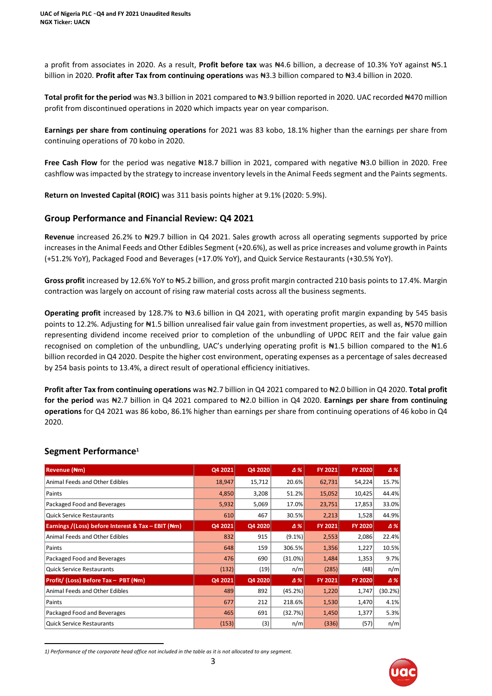a profit from associates in 2020. As a result, **Profit before tax** was ₦4.6 billion, a decrease of 10.3% YoY against ₦5.1 billion in 2020. **Profit after Tax from continuing operations** was ₦3.3 billion compared to ₦3.4 billion in 2020.

**Total profit for the period** was ₦3.3 billion in 2021 compared to ₦3.9 billion reported in 2020. UAC recorded ₦470 million profit from discontinued operations in 2020 which impacts year on year comparison.

**Earnings per share from continuing operations** for 2021 was 83 kobo, 18.1% higher than the earnings per share from continuing operations of 70 kobo in 2020.

**Free Cash Flow** for the period was negative ₦18.7 billion in 2021, compared with negative ₦3.0 billion in 2020. Free cashflow was impacted by the strategy to increase inventory levels in the Animal Feeds segment and the Paints segments.

**Return on Invested Capital (ROIC)** was 311 basis points higher at 9.1% (2020: 5.9%).

## **Group Performance and Financial Review: Q4 2021**

**Revenue** increased 26.2% to ₦29.7 billion in Q4 2021. Sales growth across all operating segments supported by price increases in the Animal Feeds and Other Edibles Segment (+20.6%), as well as price increases and volume growth in Paints (+51.2% YoY), Packaged Food and Beverages (+17.0% YoY), and Quick Service Restaurants (+30.5% YoY).

**Gross profit** increased by 12.6% YoY to ₦5.2 billion, and gross profit margin contracted 210 basis points to 17.4%. Margin contraction was largely on account of rising raw material costs across all the business segments.

**Operating profit** increased by 128.7% to ₦3.6 billion in Q4 2021, with operating profit margin expanding by 545 basis points to 12.2%. Adjusting for N<sub>1.5</sub> billion unrealised fair value gain from investment properties, as well as, N570 million representing dividend income received prior to completion of the unbundling of UPDC REIT and the fair value gain recognised on completion of the unbundling, UAC's underlying operating profit is ₦1.5 billion compared to the ₦1.6 billion recorded in Q4 2020. Despite the higher cost environment, operating expenses as a percentage of sales decreased by 254 basis points to 13.4%, a direct result of operational efficiency initiatives.

**Profit after Tax from continuing operations** was ₦2.7 billion in Q4 2021 compared to ₦2.0 billion in Q4 2020. **Total profit for the period** was ₦2.7 billion in Q4 2021 compared to ₦2.0 billion in Q4 2020. **Earnings per share from continuing operations** for Q4 2021 was 86 kobo, 86.1% higher than earnings per share from continuing operations of 46 kobo in Q4 2020.

## **Segment Performance<sup>1</sup>**

| Revenue (Nm)                                       | Q4 2021 | Q4 2020 | Δ%         | <b>FY 2021</b> | <b>FY 2020</b> | $\Delta$ % |
|----------------------------------------------------|---------|---------|------------|----------------|----------------|------------|
| Animal Feeds and Other Edibles                     | 18,947  | 15,712  | 20.6%      | 62,731         | 54,224         | 15.7%      |
| Paints                                             | 4,850   | 3,208   | 51.2%      | 15,052         | 10,425         | 44.4%      |
| Packaged Food and Beverages                        | 5,932   | 5,069   | 17.0%      | 23,751         | 17,853         | 33.0%      |
| <b>Quick Service Restaurants</b>                   | 610     | 467     | 30.5%      | 2,213          | 1,528          | 44.9%      |
| Earnings /(Loss) before Interest & Tax - EBIT (Nm) | Q4 2021 | Q4 2020 | Δ%         | <b>FY 2021</b> | <b>FY 2020</b> | $\Delta$ % |
| Animal Feeds and Other Edibles                     | 832     | 915     | $(9.1\%)$  | 2,553          | 2,086          | 22.4%      |
| Paints                                             | 648     | 159     | 306.5%     | 1,356          | 1,227          | 10.5%      |
| Packaged Food and Beverages                        | 476     | 690     | $(31.0\%)$ | 1,484          | 1,353          | 9.7%       |
| <b>Quick Service Restaurants</b>                   | (132)   | (19)    | n/m        | (285)          | (48)           | n/m        |
| Profit/ (Loss) Before Tax - PBT (Nm)               | Q4 2021 | Q4 2020 | Δ%         | <b>FY 2021</b> | <b>FY 2020</b> | $\Delta\%$ |
| Animal Feeds and Other Edibles                     | 489     | 892     | (45.2%)    | 1,220          | 1,747          | (30.2%)    |
| Paints                                             | 677     | 212     | 218.6%     | 1,530          | 1,470          | 4.1%       |
| Packaged Food and Beverages                        | 465     | 691     | (32.7%)    | 1,450          | 1,377          | 5.3%       |
| <b>Quick Service Restaurants</b>                   | (153)   | (3)     | n/m        | (336)          | (57)           | n/m        |



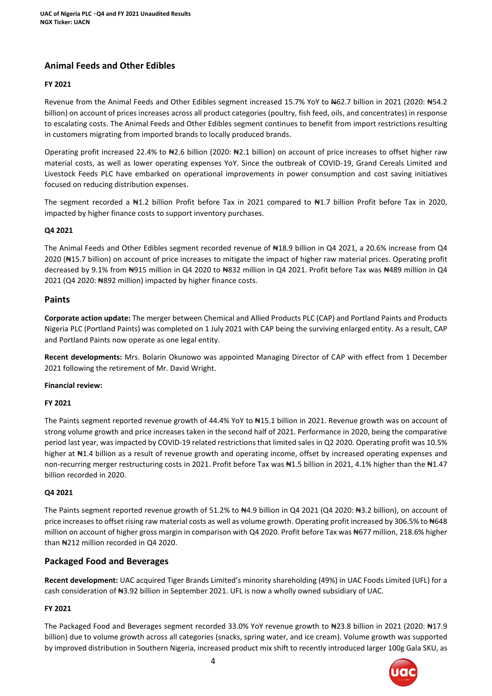# **Animal Feeds and Other Edibles**

#### **FY 2021**

Revenue from the Animal Feeds and Other Edibles segment increased 15.7% YoY to N62.7 billion in 2021 (2020: N54.2 billion) on account of prices increases across all product categories (poultry, fish feed, oils, and concentrates) in response to escalating costs. The Animal Feeds and Other Edibles segment continues to benefit from import restrictions resulting in customers migrating from imported brands to locally produced brands.

Operating profit increased 22.4% to ₦2.6 billion (2020: ₦2.1 billion) on account of price increases to offset higher raw material costs, as well as lower operating expenses YoY. Since the outbreak of COVID-19, Grand Cereals Limited and Livestock Feeds PLC have embarked on operational improvements in power consumption and cost saving initiatives focused on reducing distribution expenses.

The segment recorded a N1.2 billion Profit before Tax in 2021 compared to N1.7 billion Profit before Tax in 2020, impacted by higher finance costs to support inventory purchases.

#### **Q4 2021**

The Animal Feeds and Other Edibles segment recorded revenue of ₦18.9 billion in Q4 2021, a 20.6% increase from Q4 2020 (₦15.7 billion) on account of price increases to mitigate the impact of higher raw material prices. Operating profit decreased by 9.1% from ₦915 million in Q4 2020 to ₦832 million in Q4 2021. Profit before Tax was ₦489 million in Q4 2021 (Q4 2020: ₦892 million) impacted by higher finance costs.

## **Paints**

**Corporate action update:** The merger between Chemical and Allied Products PLC (CAP) and Portland Paints and Products Nigeria PLC (Portland Paints) was completed on 1 July 2021 with CAP being the surviving enlarged entity. As a result, CAP and Portland Paints now operate as one legal entity.

**Recent developments:** Mrs. Bolarin Okunowo was appointed Managing Director of CAP with effect from 1 December 2021 following the retirement of Mr. David Wright.

#### **Financial review:**

#### **FY 2021**

The Paints segment reported revenue growth of 44.4% YoY to #15.1 billion in 2021. Revenue growth was on account of strong volume growth and price increases taken in the second half of 2021. Performance in 2020, being the comparative period last year, was impacted by COVID-19 related restrictions that limited sales in Q2 2020. Operating profit was 10.5% higher at #1.4 billion as a result of revenue growth and operating income, offset by increased operating expenses and non-recurring merger restructuring costs in 2021. Profit before Tax was #1.5 billion in 2021, 4.1% higher than the #1.47 billion recorded in 2020.

#### **Q4 2021**

The Paints segment reported revenue growth of 51.2% to #4.9 billion in Q4 2021 (Q4 2020: #3.2 billion), on account of price increases to offset rising raw material costs as well as volume growth. Operating profit increased by 306.5% to ₦648 million on account of higher gross margin in comparison with Q4 2020. Profit before Tax was N677 million, 218.6% higher than #212 million recorded in Q4 2020.

## **Packaged Food and Beverages**

**Recent development:** UAC acquired Tiger Brands Limited's minority shareholding (49%) in UAC Foods Limited (UFL) for a cash consideration of N3.92 billion in September 2021. UFL is now a wholly owned subsidiary of UAC.

## **FY 2021**

The Packaged Food and Beverages segment recorded 33.0% YoY revenue growth to ₦23.8 billion in 2021 (2020: ₦17.9 billion) due to volume growth across all categories (snacks, spring water, and ice cream). Volume growth was supported by improved distribution in Southern Nigeria, increased product mix shift to recently introduced larger 100g Gala SKU, as

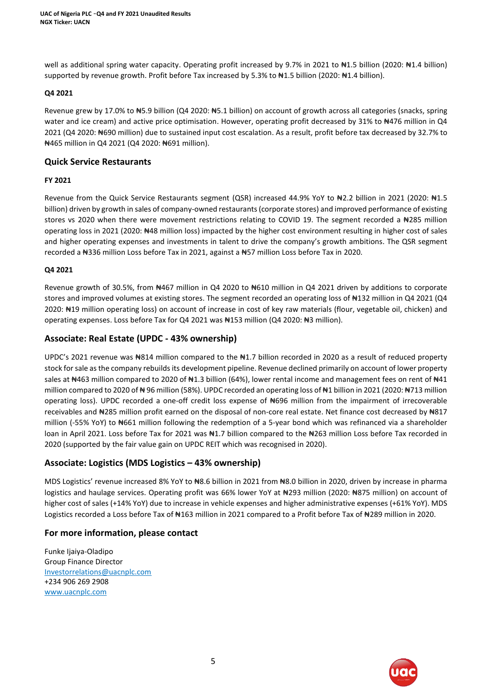well as additional spring water capacity. Operating profit increased by 9.7% in 2021 to #1.5 billion (2020: #1.4 billion) supported by revenue growth. Profit before Tax increased by 5.3% to #1.5 billion (2020: #1.4 billion).

#### **Q4 2021**

Revenue grew by 17.0% to ₦5.9 billion (Q4 2020: ₦5.1 billion) on account of growth across all categories (snacks, spring water and ice cream) and active price optimisation. However, operating profit decreased by 31% to #476 million in Q4 2021 (Q4 2020: ₦690 million) due to sustained input cost escalation. As a result, profit before tax decreased by 32.7% to ₦465 million in Q4 2021 (Q4 2020: ₦691 million).

## **Quick Service Restaurants**

#### **FY 2021**

Revenue from the Quick Service Restaurants segment (QSR) increased 44.9% YoY to ₦2.2 billion in 2021 (2020: ₦1.5 billion) driven by growth in sales of company-owned restaurants (corporate stores) and improved performance of existing stores vs 2020 when there were movement restrictions relating to COVID 19. The segment recorded a #285 million operating loss in 2021 (2020: ₦48 million loss) impacted by the higher cost environment resulting in higher cost of sales and higher operating expenses and investments in talent to drive the company's growth ambitions. The QSR segment recorded a ₦336 million Loss before Tax in 2021, against a ₦57 million Loss before Tax in 2020.

#### **Q4 2021**

Revenue growth of 30.5%, from #467 million in Q4 2020 to #610 million in Q4 2021 driven by additions to corporate stores and improved volumes at existing stores. The segment recorded an operating loss of #132 million in Q4 2021 (Q4 2020: ₦19 million operating loss) on account of increase in cost of key raw materials (flour, vegetable oil, chicken) and operating expenses. Loss before Tax for Q4 2021 was  $\frac{1}{153}$  million (Q4 2020:  $\frac{1}{183}$  million).

# **Associate: Real Estate (UPDC - 43% ownership)**

UPDC's 2021 revenue was N814 million compared to the N1.7 billion recorded in 2020 as a result of reduced property stock for sale as the company rebuilds its development pipeline. Revenue declined primarily on account of lower property sales at #463 million compared to 2020 of #1.3 billion (64%), lower rental income and management fees on rent of #41 million compared to 2020 of ₦ 96 million (58%). UPDC recorded an operating loss of ₦1 billion in 2021 (2020: ₦713 million operating loss). UPDC recorded a one-off credit loss expense of ₦696 million from the impairment of irrecoverable receivables and N285 million profit earned on the disposal of non-core real estate. Net finance cost decreased by N817 million (-55% YoY) to ₦661 million following the redemption of a 5-year bond which was refinanced via a shareholder loan in April 2021. Loss before Tax for 2021 was #1.7 billion compared to the #263 million Loss before Tax recorded in 2020 (supported by the fair value gain on UPDC REIT which was recognised in 2020).

## **Associate: Logistics (MDS Logistics – 43% ownership)**

MDS Logistics' revenue increased 8% YoY to ₦8.6 billion in 2021 from ₦8.0 billion in 2020, driven by increase in pharma logistics and haulage services. Operating profit was 66% lower YoY at ₦293 million (2020: ₦875 million) on account of higher cost of sales (+14% YoY) due to increase in vehicle expenses and higher administrative expenses (+61% YoY). MDS Logistics recorded a Loss before Tax of #163 million in 2021 compared to a Profit before Tax of #289 million in 2020.

## **For more information, please contact**

Funke Ijaiya-Oladipo Group Finance Director [Investorrelations@uacnplc.com](mailto:Investorrelations@uacnplc.com) +234 906 269 2908 [www.uacnplc.com](http://www.uacnplc.com/)